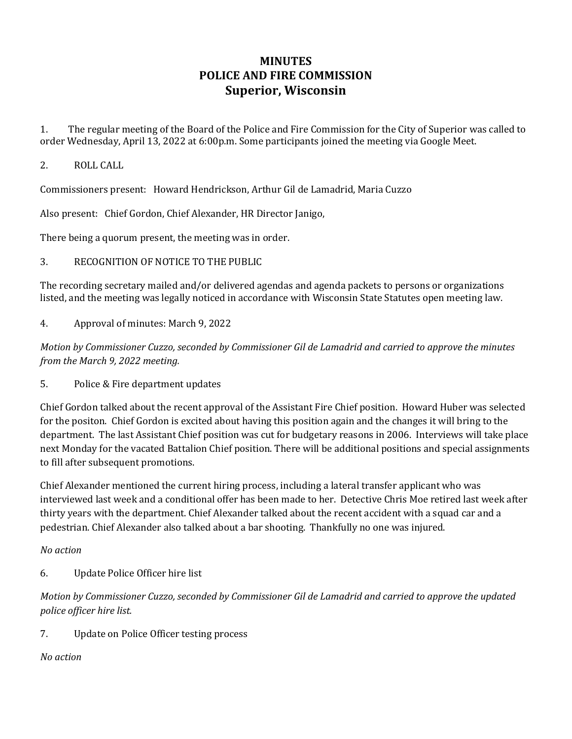# **MINUTES POLICE AND FIRE COMMISSION Superior, Wisconsin**

1. The regular meeting of the Board of the Police and Fire Commission for the City of Superior was called to order Wednesday, April 13, 2022 at 6:00p.m. Some participants joined the meeting via Google Meet.

#### 2. ROLL CALL

Commissioners present: Howard Hendrickson, Arthur Gil de Lamadrid, Maria Cuzzo

Also present: Chief Gordon, Chief Alexander, HR Director Janigo,

There being a quorum present, the meeting was in order.

### 3. RECOGNITION OF NOTICE TO THE PUBLIC

The recording secretary mailed and/or delivered agendas and agenda packets to persons or organizations listed, and the meeting was legally noticed in accordance with Wisconsin State Statutes open meeting law.

4. Approval of minutes: March 9, 2022

*Motion by Commissioner Cuzzo, seconded by Commissioner Gil de Lamadrid and carried to approve the minutes from the March 9, 2022 meeting.* 

5. Police & Fire department updates

Chief Gordon talked about the recent approval of the Assistant Fire Chief position. Howard Huber was selected for the positon. Chief Gordon is excited about having this position again and the changes it will bring to the department. The last Assistant Chief position was cut for budgetary reasons in 2006. Interviews will take place next Monday for the vacated Battalion Chief position. There will be additional positions and special assignments to fill after subsequent promotions.

Chief Alexander mentioned the current hiring process, including a lateral transfer applicant who was interviewed last week and a conditional offer has been made to her. Detective Chris Moe retired last week after thirty years with the department. Chief Alexander talked about the recent accident with a squad car and a pedestrian. Chief Alexander also talked about a bar shooting. Thankfully no one was injured.

#### *No action*

6. Update Police Officer hire list

*Motion by Commissioner Cuzzo, seconded by Commissioner Gil de Lamadrid and carried to approve the updated police officer hire list.* 

7. Update on Police Officer testing process

#### *No action*